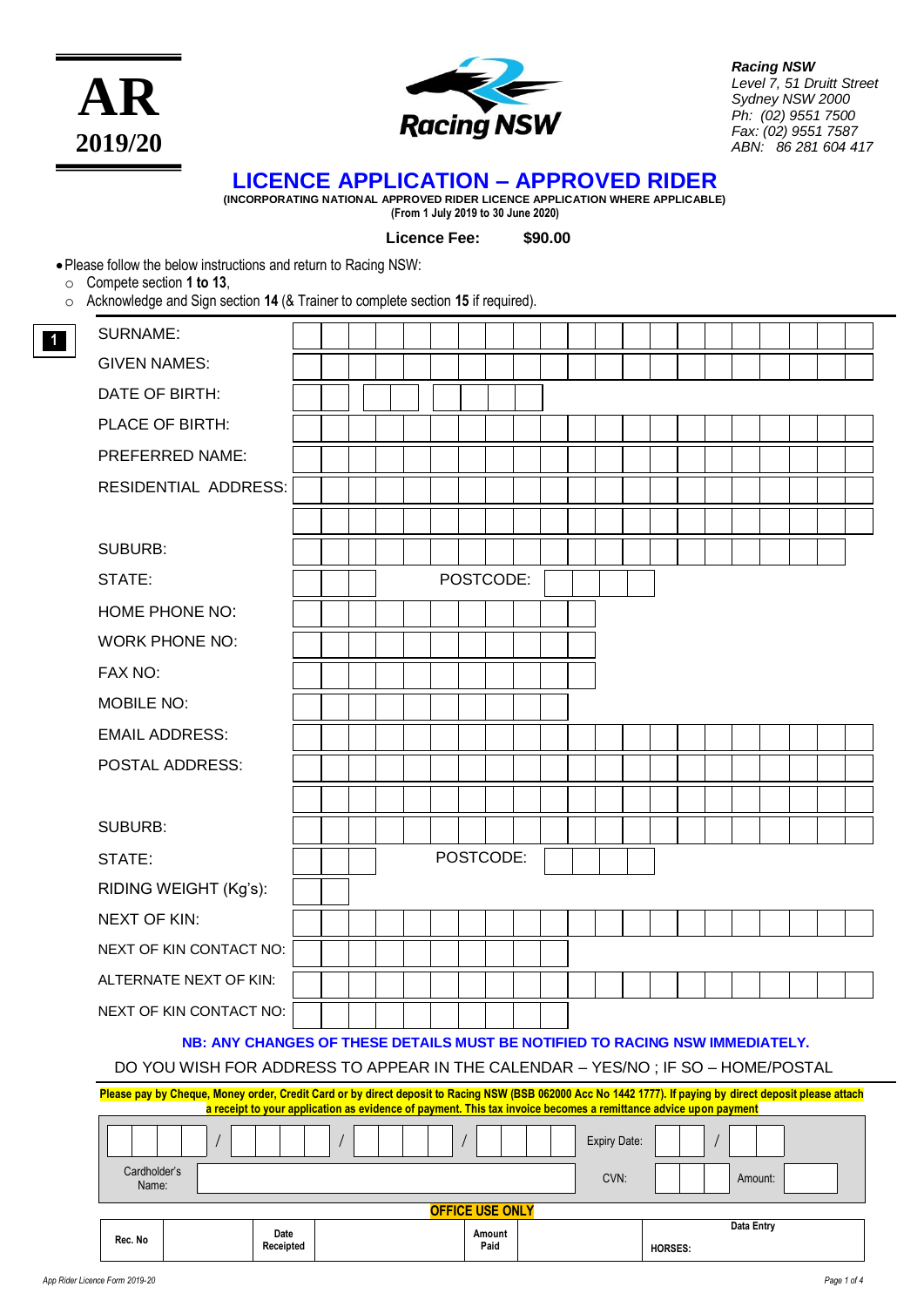



*Racing NSW Level 7, 51 Druitt Street Sydney NSW 2000 Ph: (02) 9551 7500 Fax: (02) 9551 7587 ABN: 86 281 604 417*

# **LICENCE APPLICATION – APPROVED RIDER**

**(INCORPORATING NATIONAL APPROVED RIDER LICENCE APPLICATION WHERE APPLICABLE) (From 1 July 2019 to 30 June 2020)**

**Licence Fee: \$90.00**

•Please follow the below instructions and return to Racing NSW:

o Compete section **1 to 13**,

**1**

o Acknowledge and Sign section **14** (& Trainer to complete section **15** if required).

| Rec. No<br>Receipted                                                                                                                                            |  |  |  |  |  |  |  | Paid      |  |              | HORSES: |  |  |  |  |
|-----------------------------------------------------------------------------------------------------------------------------------------------------------------|--|--|--|--|--|--|--|-----------|--|--------------|---------|--|--|--|--|
| <b>OFFICE USE ONLY</b><br><b>Data Entry</b><br>Date<br>Amount                                                                                                   |  |  |  |  |  |  |  |           |  |              |         |  |  |  |  |
| Cardholder's<br>CVN:<br>Amount:<br>Name:                                                                                                                        |  |  |  |  |  |  |  |           |  |              |         |  |  |  |  |
|                                                                                                                                                                 |  |  |  |  |  |  |  |           |  | Expiry Date: |         |  |  |  |  |
| a receipt to your application as evidence of payment. This tax invoice becomes a remittance advice upon payment                                                 |  |  |  |  |  |  |  |           |  |              |         |  |  |  |  |
| Please pay by Cheque, Money order, Credit Card or by direct deposit to Racing NSW (BSB 062000 Acc No 1442 1777). If paying by direct deposit please attach      |  |  |  |  |  |  |  |           |  |              |         |  |  |  |  |
| NB: ANY CHANGES OF THESE DETAILS MUST BE NOTIFIED TO RACING NSW IMMEDIATELY.<br>DO YOU WISH FOR ADDRESS TO APPEAR IN THE CALENDAR - YES/NO; IF SO - HOME/POSTAL |  |  |  |  |  |  |  |           |  |              |         |  |  |  |  |
| NEXT OF KIN CONTACT NO:                                                                                                                                         |  |  |  |  |  |  |  |           |  |              |         |  |  |  |  |
| ALTERNATE NEXT OF KIN:                                                                                                                                          |  |  |  |  |  |  |  |           |  |              |         |  |  |  |  |
| NEXT OF KIN CONTACT NO:                                                                                                                                         |  |  |  |  |  |  |  |           |  |              |         |  |  |  |  |
| <b>NEXT OF KIN:</b>                                                                                                                                             |  |  |  |  |  |  |  |           |  |              |         |  |  |  |  |
| RIDING WEIGHT (Kg's):                                                                                                                                           |  |  |  |  |  |  |  |           |  |              |         |  |  |  |  |
| STATE:                                                                                                                                                          |  |  |  |  |  |  |  | POSTCODE: |  |              |         |  |  |  |  |
| <b>SUBURB:</b>                                                                                                                                                  |  |  |  |  |  |  |  |           |  |              |         |  |  |  |  |
|                                                                                                                                                                 |  |  |  |  |  |  |  |           |  |              |         |  |  |  |  |
| POSTAL ADDRESS:                                                                                                                                                 |  |  |  |  |  |  |  |           |  |              |         |  |  |  |  |
| <b>EMAIL ADDRESS:</b>                                                                                                                                           |  |  |  |  |  |  |  |           |  |              |         |  |  |  |  |
| <b>MOBILE NO:</b>                                                                                                                                               |  |  |  |  |  |  |  |           |  |              |         |  |  |  |  |
| FAX NO:                                                                                                                                                         |  |  |  |  |  |  |  |           |  |              |         |  |  |  |  |
| <b>WORK PHONE NO:</b>                                                                                                                                           |  |  |  |  |  |  |  |           |  |              |         |  |  |  |  |
| HOME PHONE NO:                                                                                                                                                  |  |  |  |  |  |  |  |           |  |              |         |  |  |  |  |
| POSTCODE:<br>STATE:                                                                                                                                             |  |  |  |  |  |  |  |           |  |              |         |  |  |  |  |
| <b>SUBURB:</b>                                                                                                                                                  |  |  |  |  |  |  |  |           |  |              |         |  |  |  |  |
|                                                                                                                                                                 |  |  |  |  |  |  |  |           |  |              |         |  |  |  |  |
| RESIDENTIAL ADDRESS:                                                                                                                                            |  |  |  |  |  |  |  |           |  |              |         |  |  |  |  |
| PREFERRED NAME:                                                                                                                                                 |  |  |  |  |  |  |  |           |  |              |         |  |  |  |  |
| PLACE OF BIRTH:                                                                                                                                                 |  |  |  |  |  |  |  |           |  |              |         |  |  |  |  |
| DATE OF BIRTH:                                                                                                                                                  |  |  |  |  |  |  |  |           |  |              |         |  |  |  |  |
| <b>GIVEN NAMES:</b>                                                                                                                                             |  |  |  |  |  |  |  |           |  |              |         |  |  |  |  |
| <b>SURNAME:</b>                                                                                                                                                 |  |  |  |  |  |  |  |           |  |              |         |  |  |  |  |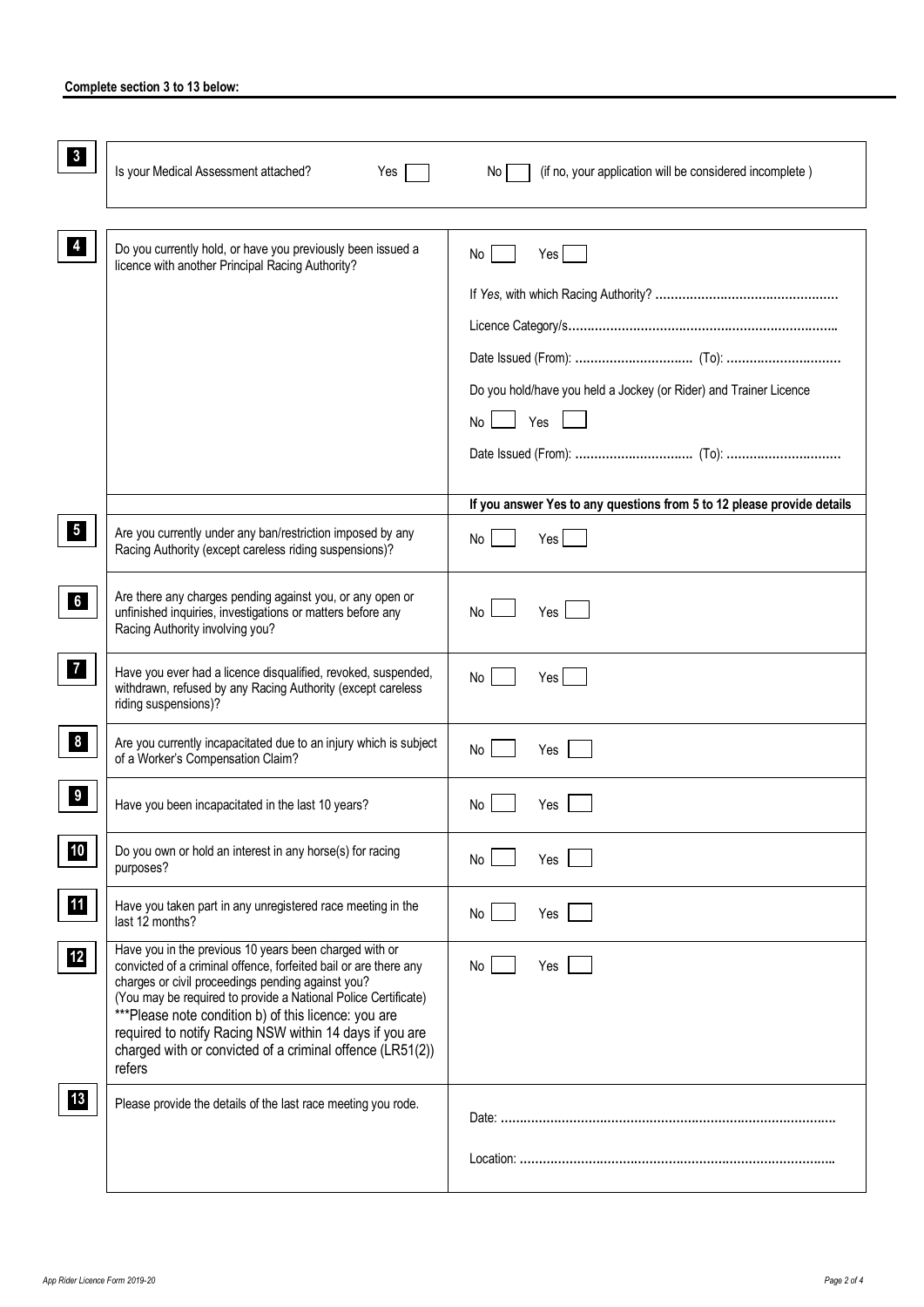| $\mathbf{3}$     | Is your Medical Assessment attached?<br>Yes                                                                                                                                                                                                                                                                                                                                                                                                 | (if no, your application will be considered incomplete)<br>No l        |
|------------------|---------------------------------------------------------------------------------------------------------------------------------------------------------------------------------------------------------------------------------------------------------------------------------------------------------------------------------------------------------------------------------------------------------------------------------------------|------------------------------------------------------------------------|
|                  |                                                                                                                                                                                                                                                                                                                                                                                                                                             |                                                                        |
| 4                | Do you currently hold, or have you previously been issued a<br>licence with another Principal Racing Authority?                                                                                                                                                                                                                                                                                                                             | Yes<br>No                                                              |
|                  |                                                                                                                                                                                                                                                                                                                                                                                                                                             |                                                                        |
|                  |                                                                                                                                                                                                                                                                                                                                                                                                                                             | Do you hold/have you held a Jockey (or Rider) and Trainer Licence      |
|                  |                                                                                                                                                                                                                                                                                                                                                                                                                                             | Yes<br><b>No</b>                                                       |
|                  |                                                                                                                                                                                                                                                                                                                                                                                                                                             |                                                                        |
|                  |                                                                                                                                                                                                                                                                                                                                                                                                                                             |                                                                        |
|                  |                                                                                                                                                                                                                                                                                                                                                                                                                                             | If you answer Yes to any questions from 5 to 12 please provide details |
|                  |                                                                                                                                                                                                                                                                                                                                                                                                                                             |                                                                        |
| 5 <sub>l</sub>   | Are you currently under any ban/restriction imposed by any<br>Racing Authority (except careless riding suspensions)?                                                                                                                                                                                                                                                                                                                        | Yes  <br>No                                                            |
| 6 <sup>1</sup>   | Are there any charges pending against you, or any open or<br>unfinished inquiries, investigations or matters before any<br>Racing Authority involving you?                                                                                                                                                                                                                                                                                  | Yes<br>No.                                                             |
| 7 <sub>1</sub>   | Have you ever had a licence disqualified, revoked, suspended,<br>withdrawn, refused by any Racing Authority (except careless<br>riding suspensions)?                                                                                                                                                                                                                                                                                        | Yes<br>No                                                              |
| $\boldsymbol{8}$ | Are you currently incapacitated due to an injury which is subject<br>of a Worker's Compensation Claim?                                                                                                                                                                                                                                                                                                                                      | Yes<br>No                                                              |
| 9                | Have you been incapacitated in the last 10 years?                                                                                                                                                                                                                                                                                                                                                                                           | No.<br>Yes                                                             |
| 10               | Do you own or hold an interest in any horse(s) for racing<br>purposes?                                                                                                                                                                                                                                                                                                                                                                      | No<br>Yes                                                              |
| <b>11</b>        | Have you taken part in any unregistered race meeting in the<br>last 12 months?                                                                                                                                                                                                                                                                                                                                                              | No<br>Yes                                                              |
| 12               | Have you in the previous 10 years been charged with or<br>convicted of a criminal offence, forfeited bail or are there any<br>charges or civil proceedings pending against you?<br>(You may be required to provide a National Police Certificate)<br>***Please note condition b) of this licence: you are<br>required to notify Racing NSW within 14 days if you are<br>charged with or convicted of a criminal offence (LR51(2))<br>refers | No<br>Yes                                                              |
| 13               | Please provide the details of the last race meeting you rode.                                                                                                                                                                                                                                                                                                                                                                               |                                                                        |
|                  |                                                                                                                                                                                                                                                                                                                                                                                                                                             |                                                                        |